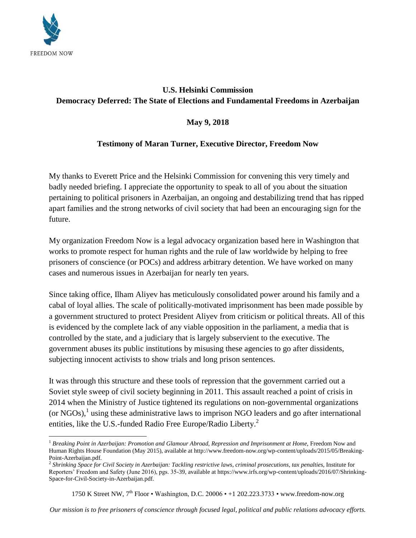

 $\overline{\phantom{a}}$ 

## **U.S. Helsinki Commission Democracy Deferred: The State of Elections and Fundamental Freedoms in Azerbaijan**

## **May 9, 2018**

## **Testimony of Maran Turner, Executive Director, Freedom Now**

My thanks to Everett Price and the Helsinki Commission for convening this very timely and badly needed briefing. I appreciate the opportunity to speak to all of you about the situation pertaining to political prisoners in Azerbaijan, an ongoing and destabilizing trend that has ripped apart families and the strong networks of civil society that had been an encouraging sign for the future.

My organization Freedom Now is a legal advocacy organization based here in Washington that works to promote respect for human rights and the rule of law worldwide by helping to free prisoners of conscience (or POCs) and address arbitrary detention. We have worked on many cases and numerous issues in Azerbaijan for nearly ten years.

Since taking office, Ilham Aliyev has meticulously consolidated power around his family and a cabal of loyal allies. The scale of politically-motivated imprisonment has been made possible by a government structured to protect President Aliyev from criticism or political threats. All of this is evidenced by the complete lack of any viable opposition in the parliament, a media that is controlled by the state, and a judiciary that is largely subservient to the executive. The government abuses its public institutions by misusing these agencies to go after dissidents, subjecting innocent activists to show trials and long prison sentences.

It was through this structure and these tools of repression that the government carried out a Soviet style sweep of civil society beginning in 2011. This assault reached a point of crisis in 2014 when the Ministry of Justice tightened its regulations on non-governmental organizations (or NGOs),<sup>1</sup> using these administrative laws to imprison NGO leaders and go after international entities, like the U.S.-funded Radio Free Europe/Radio Liberty.<sup>2</sup>

1750 K Street NW, 7<sup>th</sup> Floor • Washington, D.C. 20006 • +1 202.223.3733 [• www.freedom-now.org](http://www.freedom-now.org/)

*Our mission is to free prisoners of conscience through focused legal, political and public relations advocacy efforts.*

<sup>&</sup>lt;sup>1</sup> Breaking Point in Azerbaijan: Promotion and Glamour Abroad, Repression and Imprisonment at Home, Freedom Now and Human Rights House Foundation (May 2015), available at http://www.freedom-now.org/wp-content/uploads/2015/05/Breaking-Point-Azerbaijan.pdf.

<sup>2</sup> *Shrinking Space for Civil Society in Azerbaijan: Tackling restrictive laws, criminal prosecutions, tax penalties*, Institute for Reporters' Freedom and Safety (June 2016), pgs. 35-39, available at https://www.irfs.org/wp-content/uploads/2016/07/Shrinking-Space-for-Civil-Society-in-Azerbaijan.pdf.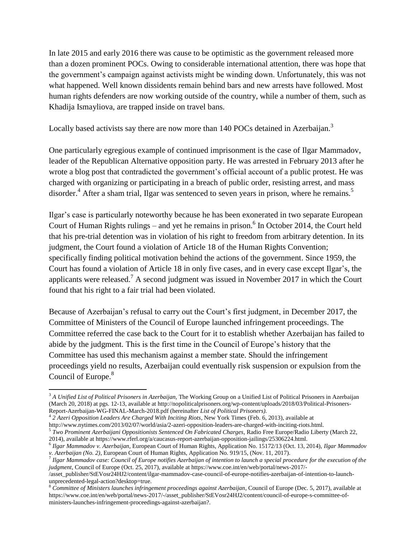In late 2015 and early 2016 there was cause to be optimistic as the government released more than a dozen prominent POCs. Owing to considerable international attention, there was hope that the government's campaign against activists might be winding down. Unfortunately, this was not what happened. Well known dissidents remain behind bars and new arrests have followed. Most human rights defenders are now working outside of the country, while a number of them, such as Khadija Ismayliova, are trapped inside on travel bans.

Locally based activists say there are now more than 140 POCs detained in Azerbaijan.<sup>3</sup>

One particularly egregious example of continued imprisonment is the case of Ilgar Mammadov, leader of the Republican Alternative opposition party. He was arrested in February 2013 after he wrote a blog post that contradicted the government's official account of a public protest. He was charged with organizing or participating in a breach of public order, resisting arrest, and mass disorder.<sup>4</sup> After a sham trial, Ilgar was sentenced to seven years in prison, where he remains.<sup>5</sup>

Ilgar's case is particularly noteworthy because he has been exonerated in two separate European Court of Human Rights rulings – and yet he remains in prison. 6 In October 2014, the Court held that his pre-trial detention was in violation of his right to freedom from arbitrary detention. In its judgment, the Court found a violation of Article 18 of the Human Rights Convention; specifically finding political motivation behind the actions of the government. Since 1959, the Court has found a violation of Article 18 in only five cases, and in every case except Ilgar's, the applicants were released.<sup>7</sup> A second judgment was issued in November 2017 in which the Court found that his right to a fair trial had been violated.

Because of Azerbaijan's refusal to carry out the Court's first judgment, in December 2017, the Committee of Ministers of the Council of Europe launched infringement proceedings. The Committee referred the case back to the Court for it to establish whether Azerbaijan has failed to abide by the judgment. This is the first time in the Council of Europe's history that the Committee has used this mechanism against a member state. Should the infringement proceedings yield no results, Azerbaijan could eventually risk suspension or expulsion from the Council of Europe.<sup>8</sup>

 $\overline{\phantom{a}}$ <sup>3</sup> *A Unified List of Political Prisoners in Azerbaijan*, The Working Group on a Unified List of Political Prisoners in Azerbaijan (March 20, 2018) at pgs. 12-13, available at http://nopoliticalprisoners.org/wp-content/uploads/2018/03/Political-Prisoners-Report-Azerbaijan-WG-FINAL-March-2018.pdf (hereinafter *List of Political Prisoners).*

<sup>4</sup> *2 Azeri Opposition Leaders Are Charged With Inciting Riots*, New York Times (Feb. 6, 2013), available at http://www.nytimes.com/2013/02/07/world/asia/2-azeri-opposition-leaders-are-charged-with-inciting-riots.html.

<sup>5</sup> *Two Prominent Azerbaijani Oppositionists Sentenced On Fabricated Charges*, Radio Free Europe/Radio Liberty (March 22, 2014), available at https://www.rferl.org/a/caucasus-report-azerbaijan-opposition-jailings/25306224.html.

<sup>6</sup> *Ilgar Mammadov v. Azerbaijan,* European Court of Human Rights, Application No. 15172/13 (Oct. 13, 2014), *Ilgar Mammadov v. Azerbaijan (No. 2)*, European Court of Human Rights, Application No. 919/15, (Nov. 11, 2017).

<sup>7</sup> *Ilgar Mammadov case: Council of Europe notifies Azerbaijan of intention to launch a special procedure for the execution of the judgment*, Council of Europe (Oct. 25, 2017), available at https://www.coe.int/en/web/portal/news-2017/-

<sup>/</sup>asset\_publisher/StEVosr24HJ2/content/ilgar-mammadov-case-council-of-europe-notifies-azerbaijan-of-intention-to-launchunprecedented-legal-action?desktop=true.

<sup>8</sup> *Committee of Ministers launches infringement proceedings against Azerbaijan*, Council of Europe (Dec. 5, 2017), available at https://www.coe.int/en/web/portal/news-2017/-/asset\_publisher/StEVosr24HJ2/content/council-of-europe-s-committee-ofministers-launches-infringement-proceedings-against-azerbaijan?.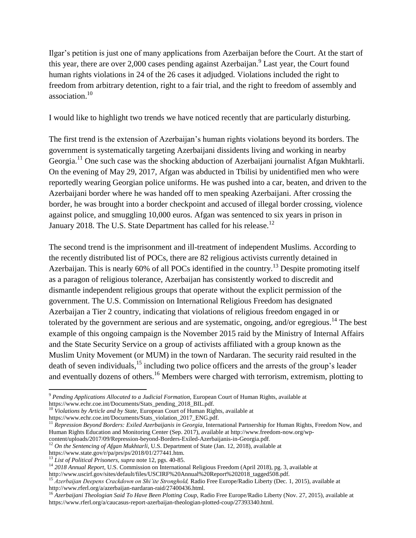Ilgar's petition is just one of many applications from Azerbaijan before the Court. At the start of this year, there are over 2,000 cases pending against Azerbaijan.<sup>9</sup> Last year, the Court found human rights violations in 24 of the 26 cases it adjudged. Violations included the right to freedom from arbitrary detention, right to a fair trial, and the right to freedom of assembly and association. 10

I would like to highlight two trends we have noticed recently that are particularly disturbing.

The first trend is the extension of Azerbaijan's human rights violations beyond its borders. The government is systematically targeting Azerbaijani dissidents living and working in nearby Georgia.<sup>11</sup> One such case was the shocking abduction of Azerbaijani journalist Afgan Mukhtarli. On the evening of May 29, 2017, Afgan was abducted in Tbilisi by unidentified men who were reportedly wearing Georgian police uniforms. He was pushed into a car, beaten, and driven to the Azerbaijani border where he was handed off to men speaking Azerbaijani. After crossing the border, he was brought into a border checkpoint and accused of illegal border crossing, violence against police, and smuggling 10,000 euros. Afgan was sentenced to six years in prison in January 2018. The U.S. State Department has called for his release.<sup>12</sup>

The second trend is the imprisonment and ill-treatment of independent Muslims. According to the recently distributed list of POCs, there are 82 religious activists currently detained in Azerbaijan. This is nearly 60% of all POCs identified in the country.<sup>13</sup> Despite promoting itself as a paragon of religious tolerance, Azerbaijan has consistently worked to discredit and dismantle independent religious groups that operate without the explicit permission of the government. The U.S. Commission on International Religious Freedom has designated Azerbaijan a Tier 2 country, indicating that violations of religious freedom engaged in or tolerated by the government are serious and are systematic, ongoing, and/or egregious.<sup>14</sup> The best example of this ongoing campaign is the November 2015 raid by the Ministry of Internal Affairs and the State Security Service on a group of activists affiliated with a group known as the Muslim Unity Movement (or MUM) in the town of Nardaran. The security raid resulted in the death of seven individuals,<sup>15</sup> including two police officers and the arrests of the group's leader and eventually dozens of others.<sup>16</sup> Members were charged with terrorism, extremism, plotting to

 $\overline{\phantom{a}}$ <sup>9</sup> *Pending Applications Allocated to a Judicial Formation,* European Court of Human Rights, available at https://www.echr.coe.int/Documents/Stats\_pending\_2018\_BIL.pdf.

<sup>&</sup>lt;sup>10</sup> Violations by Article and by State, European Court of Human Rights, available at

https://www.echr.coe.int/Documents/Stats\_violation\_2017\_ENG.pdf.

<sup>11</sup> *Repression Beyond Borders: Exiled Azerbaijanis in Georgia*, International Partnership for Human Rights, Freedom Now, and Human Rights Education and Monitoring Center (Sep. 2017), available at http://www.freedom-now.org/wp-

content/uploads/2017/09/Repression-beyond-Borders-Exiled-Azerbaijanis-in-Georgia.pdf. <sup>12</sup> On the Sentencing of Afgan Mukhtarli, U.S. Department of State (Jan. 12, 2018), available at

https://www.state.gov/r/pa/prs/ps/2018/01/277441.htm.

<sup>13</sup> *List of Political Prisoners, supra* note 12, pgs. 40-85.

<sup>14</sup> *2018 Annual Report*, U.S. Commission on International Religious Freedom (April 2018), pg. 3, available at http://www.uscirf.gov/sites/default/files/USCIRF%20Annual%20Report%202018\_tagged508.pdf.

<sup>15</sup> *Azerbaijan Deepens Crackdown on Shi'ite Stronghold,* Radio Free Europe/Radio Liberty (Dec. 1, 2015), available at http://www.rferl.org/a/azerbaijan-nardaran-raid/27400436.html.

<sup>&</sup>lt;sup>16</sup> Azerbaijani Theologian Said To Have Been Plotting Coup, Radio Free Europe/Radio Liberty (Nov. 27, 2015), available at https://www.rferl.org/a/caucasus-report-azerbaijan-theologian-plotted-coup/27393340.html.